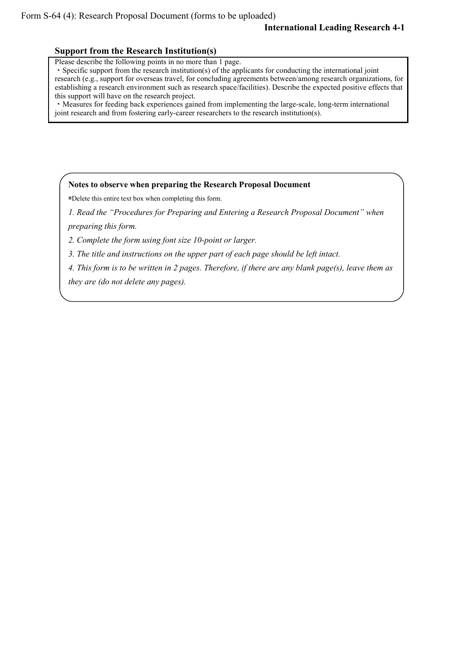## **International Leading Research 4-1**

## **Support from the Research Institution(s)**

Please describe the following points in no more than 1 page.

・Specific support from the research institution(s) of the applicants for conducting the international joint research (e.g., support for overseas travel, for concluding agreements between/among research organizations, for establishing a research environment such as research space/facilities). Describe the expected positive effects that this support will have on the research project.

・Measures for feeding back experiences gained from implementing the large-scale, long-term international joint research and from fostering early-career researchers to the research institution(s).

## **Notes to observe when preparing the Research Proposal Document**

\*Delete this entire text box when completing this form.

*1. Read the "Procedures for Preparing and Entering a Research Proposal Document" when preparing this form.*

*2. Complete the form using font size 10-point or larger.*

*3. The title and instructions on the upper part of each page should be left intact.*

*4. This form is to be written in 2 pages. Therefore, if there are any blank page(s), leave them as* 

*they are (do not delete any pages).*